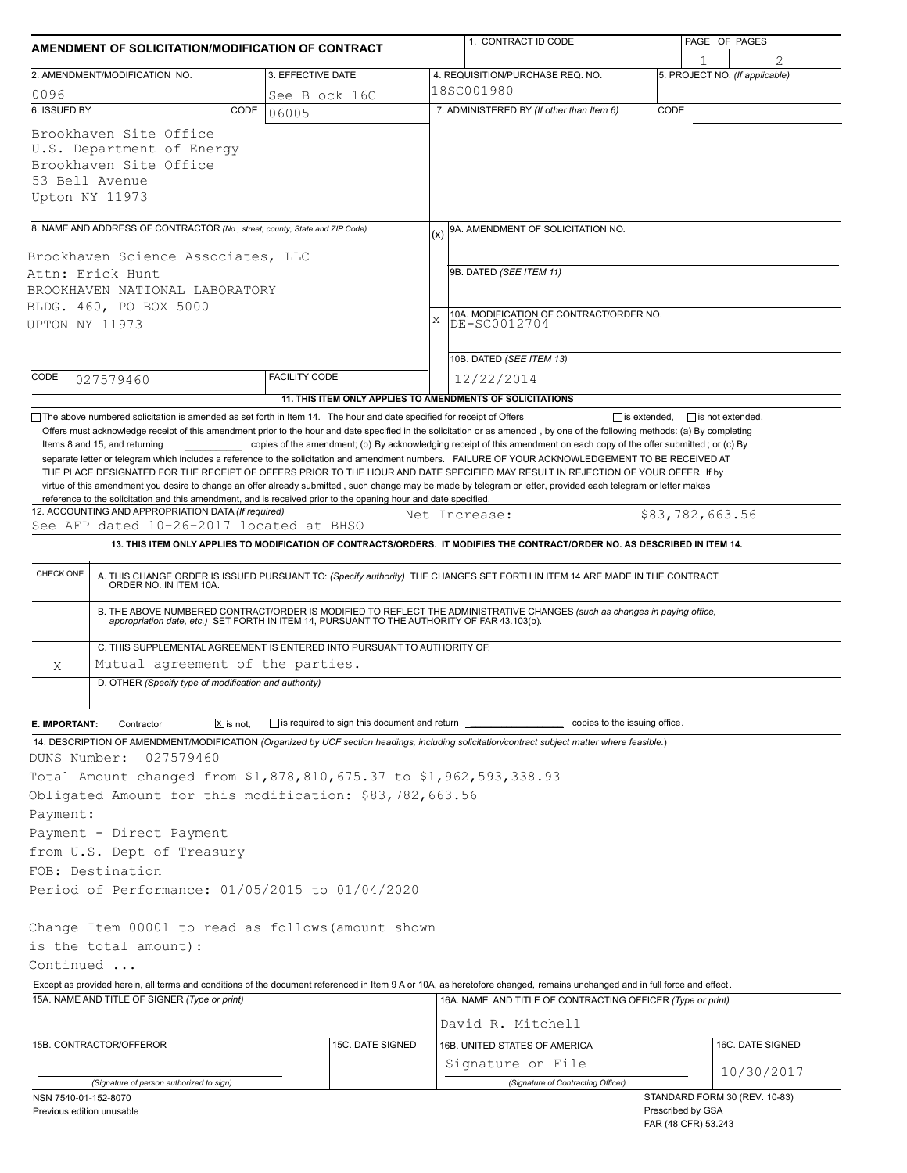| AMENDMENT OF SOLICITATION/MODIFICATION OF CONTRACT                                                                                                                                                                                                                                                                                                                                                                                                                                                                       |                                                            |               | 1. CONTRACT ID CODE                                                                                                                                                                                                      | PAGE OF PAGES |                                     |  |  |
|--------------------------------------------------------------------------------------------------------------------------------------------------------------------------------------------------------------------------------------------------------------------------------------------------------------------------------------------------------------------------------------------------------------------------------------------------------------------------------------------------------------------------|------------------------------------------------------------|---------------|--------------------------------------------------------------------------------------------------------------------------------------------------------------------------------------------------------------------------|---------------|-------------------------------------|--|--|
| 2. AMENDMENT/MODIFICATION NO.                                                                                                                                                                                                                                                                                                                                                                                                                                                                                            | 3. EFFECTIVE DATE                                          |               | 4. REQUISITION/PURCHASE REQ. NO.                                                                                                                                                                                         |               | 1<br>5. PROJECT NO. (If applicable) |  |  |
| 0096                                                                                                                                                                                                                                                                                                                                                                                                                                                                                                                     | See Block 16C                                              |               | 18SC001980                                                                                                                                                                                                               |               |                                     |  |  |
| 6. ISSUED BY<br>CODE                                                                                                                                                                                                                                                                                                                                                                                                                                                                                                     | 06005                                                      |               | 7. ADMINISTERED BY (If other than Item 6)<br>CODE                                                                                                                                                                        |               |                                     |  |  |
| Brookhaven Site Office<br>U.S. Department of Energy<br>Brookhaven Site Office<br>53 Bell Avenue<br>Upton NY 11973                                                                                                                                                                                                                                                                                                                                                                                                        |                                                            |               |                                                                                                                                                                                                                          |               |                                     |  |  |
| 8. NAME AND ADDRESS OF CONTRACTOR (No., street, county, State and ZIP Code)                                                                                                                                                                                                                                                                                                                                                                                                                                              |                                                            | (x)           | 9A. AMENDMENT OF SOLICITATION NO.                                                                                                                                                                                        |               |                                     |  |  |
| Brookhaven Science Associates, LLC<br>Attn: Erick Hunt<br>BROOKHAVEN NATIONAL LABORATORY<br>BLDG. 460, PO BOX 5000<br>UPTON NY 11973                                                                                                                                                                                                                                                                                                                                                                                     |                                                            |               | 9B. DATED (SEE ITEM 11)<br>10A. MODIFICATION OF CONTRACT/ORDER NO.<br>$\mathbf{x}$<br>DE-SC0012704                                                                                                                       |               |                                     |  |  |
|                                                                                                                                                                                                                                                                                                                                                                                                                                                                                                                          |                                                            |               | 10B. DATED (SEE ITEM 13)                                                                                                                                                                                                 |               |                                     |  |  |
| CODE<br>027579460                                                                                                                                                                                                                                                                                                                                                                                                                                                                                                        | <b>FACILITY CODE</b>                                       |               | 12/22/2014                                                                                                                                                                                                               |               |                                     |  |  |
|                                                                                                                                                                                                                                                                                                                                                                                                                                                                                                                          | 11. THIS ITEM ONLY APPLIES TO AMENDMENTS OF SOLICITATIONS  |               |                                                                                                                                                                                                                          |               |                                     |  |  |
| THE PLACE DESIGNATED FOR THE RECEIPT OF OFFERS PRIOR TO THE HOUR AND DATE SPECIFIED MAY RESULT IN REJECTION OF YOUR OFFER If by<br>virtue of this amendment you desire to change an offer already submitted, such change may be made by telegram or letter, provided each telegram or letter makes<br>reference to the solicitation and this amendment, and is received prior to the opening hour and date specified.<br>12. ACCOUNTING AND APPROPRIATION DATA (If required)<br>See AFP dated 10-26-2017 located at BHSO |                                                            | Net Increase: | 13. THIS ITEM ONLY APPLIES TO MODIFICATION OF CONTRACTS/ORDERS. IT MODIFIES THE CONTRACT/ORDER NO. AS DESCRIBED IN ITEM 14.                                                                                              |               | \$83,782,663.56                     |  |  |
| CHECK ONE                                                                                                                                                                                                                                                                                                                                                                                                                                                                                                                |                                                            |               | A. THIS CHANGE ORDER IS ISSUED PURSUANT TO: (Specify authority) THE CHANGES SET FORTH IN ITEM 14 ARE MADE IN THE CONTRACT ORDER NO. IN ITEM 10A.                                                                         |               |                                     |  |  |
|                                                                                                                                                                                                                                                                                                                                                                                                                                                                                                                          |                                                            |               | B. THE ABOVE NUMBERED CONTRACT/ORDER IS MODIFIED TO REFLECT THE ADMINISTRATIVE CHANGES (such as changes in paying office,<br>appropriation date, etc.) SET FORTH IN ITEM 14, PURSUANT TO THE AUTHORITY OF FAR 43.103(b). |               |                                     |  |  |
| C. THIS SUPPLEMENTAL AGREEMENT IS ENTERED INTO PURSUANT TO AUTHORITY OF:                                                                                                                                                                                                                                                                                                                                                                                                                                                 |                                                            |               |                                                                                                                                                                                                                          |               |                                     |  |  |
| Mutual agreement of the parties.<br>Χ                                                                                                                                                                                                                                                                                                                                                                                                                                                                                    |                                                            |               |                                                                                                                                                                                                                          |               |                                     |  |  |
| D. OTHER (Specify type of modification and authority)                                                                                                                                                                                                                                                                                                                                                                                                                                                                    |                                                            |               |                                                                                                                                                                                                                          |               |                                     |  |  |
| $\boxed{\mathsf{X}}$ is not.<br>E. IMPORTANT:<br>Contractor                                                                                                                                                                                                                                                                                                                                                                                                                                                              | $\Box$ is required to sign this document and return $\Box$ |               | copies to the issuing office.                                                                                                                                                                                            |               |                                     |  |  |
| 14. DESCRIPTION OF AMENDMENT/MODIFICATION (Organized by UCF section headings, including solicitation/contract subject matter where feasible.)                                                                                                                                                                                                                                                                                                                                                                            |                                                            |               |                                                                                                                                                                                                                          |               |                                     |  |  |
| 027579460<br>DUNS Number:                                                                                                                                                                                                                                                                                                                                                                                                                                                                                                |                                                            |               |                                                                                                                                                                                                                          |               |                                     |  |  |
| Total Amount changed from \$1,878,810,675.37 to \$1,962,593,338.93                                                                                                                                                                                                                                                                                                                                                                                                                                                       |                                                            |               |                                                                                                                                                                                                                          |               |                                     |  |  |
| Obligated Amount for this modification: \$83,782,663.56                                                                                                                                                                                                                                                                                                                                                                                                                                                                  |                                                            |               |                                                                                                                                                                                                                          |               |                                     |  |  |
| Payment:                                                                                                                                                                                                                                                                                                                                                                                                                                                                                                                 |                                                            |               |                                                                                                                                                                                                                          |               |                                     |  |  |
| Payment - Direct Payment                                                                                                                                                                                                                                                                                                                                                                                                                                                                                                 |                                                            |               |                                                                                                                                                                                                                          |               |                                     |  |  |
| from U.S. Dept of Treasury                                                                                                                                                                                                                                                                                                                                                                                                                                                                                               |                                                            |               |                                                                                                                                                                                                                          |               |                                     |  |  |
| FOB: Destination                                                                                                                                                                                                                                                                                                                                                                                                                                                                                                         |                                                            |               |                                                                                                                                                                                                                          |               |                                     |  |  |
| Period of Performance: 01/05/2015 to 01/04/2020                                                                                                                                                                                                                                                                                                                                                                                                                                                                          |                                                            |               |                                                                                                                                                                                                                          |               |                                     |  |  |
| Change Item 00001 to read as follows (amount shown                                                                                                                                                                                                                                                                                                                                                                                                                                                                       |                                                            |               |                                                                                                                                                                                                                          |               |                                     |  |  |
| is the total amount):                                                                                                                                                                                                                                                                                                                                                                                                                                                                                                    |                                                            |               |                                                                                                                                                                                                                          |               |                                     |  |  |
| Continued                                                                                                                                                                                                                                                                                                                                                                                                                                                                                                                |                                                            |               |                                                                                                                                                                                                                          |               |                                     |  |  |
| Except as provided herein, all terms and conditions of the document referenced in Item 9 A or 10A, as heretofore changed, remains unchanged and in full force and effect.<br>15A. NAME AND TITLE OF SIGNER (Type or print)                                                                                                                                                                                                                                                                                               |                                                            |               | 16A. NAME AND TITLE OF CONTRACTING OFFICER (Type or print)                                                                                                                                                               |               |                                     |  |  |
|                                                                                                                                                                                                                                                                                                                                                                                                                                                                                                                          |                                                            |               | David R. Mitchell                                                                                                                                                                                                        |               |                                     |  |  |
| 15B. CONTRACTOR/OFFEROR                                                                                                                                                                                                                                                                                                                                                                                                                                                                                                  | 15C. DATE SIGNED                                           |               | 16B. UNITED STATES OF AMERICA                                                                                                                                                                                            |               | 16C. DATE SIGNED                    |  |  |
|                                                                                                                                                                                                                                                                                                                                                                                                                                                                                                                          |                                                            |               | Signature on File                                                                                                                                                                                                        |               |                                     |  |  |
| (Signature of person authorized to sign)                                                                                                                                                                                                                                                                                                                                                                                                                                                                                 |                                                            |               | (Signature of Contracting Officer)                                                                                                                                                                                       |               | 10/30/2017                          |  |  |
| NSN 7540-01-152-8070                                                                                                                                                                                                                                                                                                                                                                                                                                                                                                     |                                                            |               |                                                                                                                                                                                                                          |               | STANDARD FORM 30 (REV. 10-83)       |  |  |
| Previous edition unusable                                                                                                                                                                                                                                                                                                                                                                                                                                                                                                |                                                            |               |                                                                                                                                                                                                                          |               | Prescribed by GSA                   |  |  |

FAR (48 CFR) 53.243